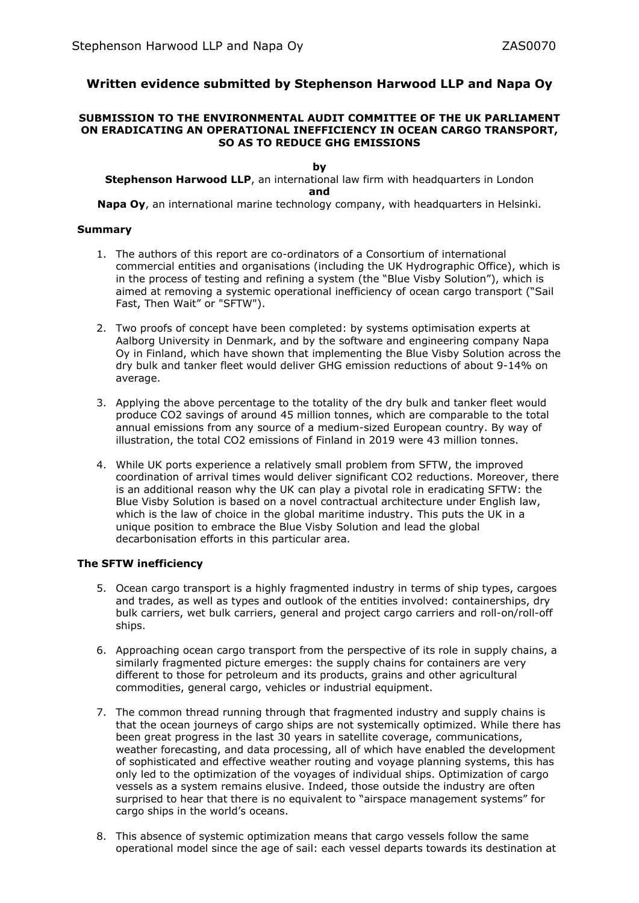# **Written evidence submitted by Stephenson Harwood LLP and Napa Oy**

#### **SUBMISSION TO THE ENVIRONMENTAL AUDIT COMMITTEE OF THE UK PARLIAMENT ON ERADICATING AN OPERATIONAL INEFFICIENCY IN OCEAN CARGO TRANSPORT, SO AS TO REDUCE GHG EMISSIONS**

#### **by**

**Stephenson Harwood LLP**, an international law firm with headquarters in London **and**

**Napa Oy**, an international marine technology company, with headquarters in Helsinki.

## **Summary**

- 1. The authors of this report are co-ordinators of a Consortium of international commercial entities and organisations (including the UK Hydrographic Office), which is in the process of testing and refining a system (the "Blue Visby Solution"), which is aimed at removing a systemic operational inefficiency of ocean cargo transport ("Sail Fast, Then Wait" or "SFTW").
- 2. Two proofs of concept have been completed: by systems optimisation experts at Aalborg University in Denmark, and by the software and engineering company Napa Oy in Finland, which have shown that implementing the Blue Visby Solution across the dry bulk and tanker fleet would deliver GHG emission reductions of about 9-14% on average.
- 3. Applying the above percentage to the totality of the dry bulk and tanker fleet would produce CO2 savings of around 45 million tonnes, which are comparable to the total annual emissions from any source of a medium-sized European country. By way of illustration, the total CO2 emissions of Finland in 2019 were 43 million tonnes.
- 4. While UK ports experience a relatively small problem from SFTW, the improved coordination of arrival times would deliver significant CO2 reductions. Moreover, there is an additional reason why the UK can play a pivotal role in eradicating SFTW: the Blue Visby Solution is based on a novel contractual architecture under English law, which is the law of choice in the global maritime industry. This puts the UK in a unique position to embrace the Blue Visby Solution and lead the global decarbonisation efforts in this particular area.

## **The SFTW inefficiency**

- 5. Ocean cargo transport is a highly fragmented industry in terms of ship types, cargoes and trades, as well as types and outlook of the entities involved: containerships, dry bulk carriers, wet bulk carriers, general and project cargo carriers and roll-on/roll-off ships.
- 6. Approaching ocean cargo transport from the perspective of its role in supply chains, a similarly fragmented picture emerges: the supply chains for containers are very different to those for petroleum and its products, grains and other agricultural commodities, general cargo, vehicles or industrial equipment.
- 7. The common thread running through that fragmented industry and supply chains is that the ocean journeys of cargo ships are not systemically optimized. While there has been great progress in the last 30 years in satellite coverage, communications, weather forecasting, and data processing, all of which have enabled the development of sophisticated and effective weather routing and voyage planning systems, this has only led to the optimization of the voyages of individual ships. Optimization of cargo vessels as a system remains elusive. Indeed, those outside the industry are often surprised to hear that there is no equivalent to "airspace management systems" for cargo ships in the world's oceans.
- 8. This absence of systemic optimization means that cargo vessels follow the same operational model since the age of sail: each vessel departs towards its destination at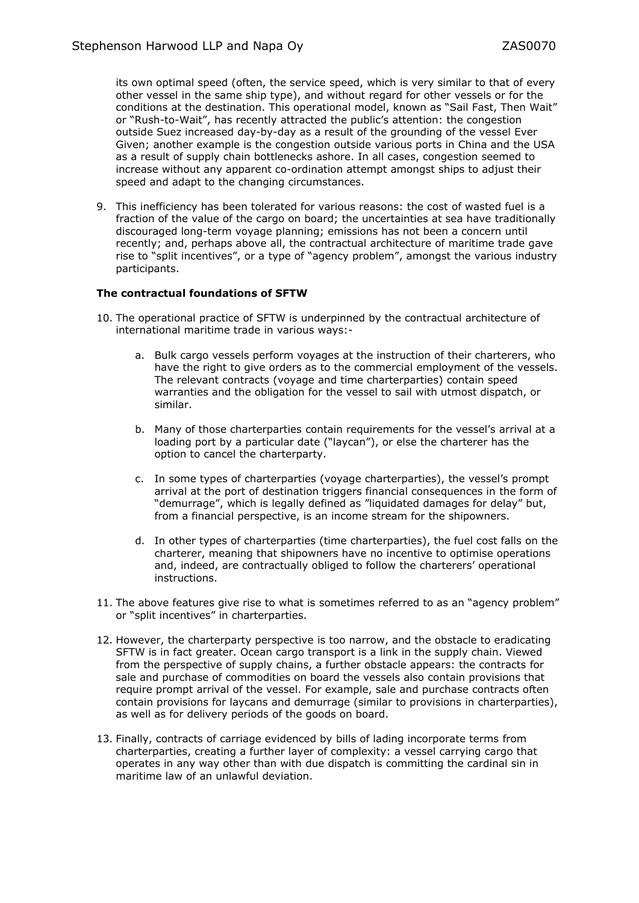its own optimal speed (often, the service speed, which is very similar to that of every other vessel in the same ship type), and without regard for other vessels or for the conditions at the destination. This operational model, known as "Sail Fast, Then Wait" or "Rush-to-Wait", has recently attracted the public's attention: the congestion outside Suez increased day-by-day as a result of the grounding of the vessel Ever Given; another example is the congestion outside various ports in China and the USA as a result of supply chain bottlenecks ashore. In all cases, congestion seemed to increase without any apparent co-ordination attempt amongst ships to adjust their speed and adapt to the changing circumstances.

9. This inefficiency has been tolerated for various reasons: the cost of wasted fuel is a fraction of the value of the cargo on board; the uncertainties at sea have traditionally discouraged long-term voyage planning; emissions has not been a concern until recently; and, perhaps above all, the contractual architecture of maritime trade gave rise to "split incentives", or a type of "agency problem", amongst the various industry participants.

#### **The contractual foundations of SFTW**

- 10. The operational practice of SFTW is underpinned by the contractual architecture of international maritime trade in various ways:
	- a. Bulk cargo vessels perform voyages at the instruction of their charterers, who have the right to give orders as to the commercial employment of the vessels. The relevant contracts (voyage and time charterparties) contain speed warranties and the obligation for the vessel to sail with utmost dispatch, or similar.
	- b. Many of those charterparties contain requirements for the vessel's arrival at a loading port by a particular date ("laycan"), or else the charterer has the option to cancel the charterparty.
	- c. In some types of charterparties (voyage charterparties), the vessel's prompt arrival at the port of destination triggers financial consequences in the form of "demurrage", which is legally defined as "liquidated damages for delay" but, from a financial perspective, is an income stream for the shipowners.
	- d. In other types of charterparties (time charterparties), the fuel cost falls on the charterer, meaning that shipowners have no incentive to optimise operations and, indeed, are contractually obliged to follow the charterers' operational instructions.
- 11. The above features give rise to what is sometimes referred to as an "agency problem" or "split incentives" in charterparties.
- 12. However, the charterparty perspective is too narrow, and the obstacle to eradicating SFTW is in fact greater. Ocean cargo transport is a link in the supply chain. Viewed from the perspective of supply chains, a further obstacle appears: the contracts for sale and purchase of commodities on board the vessels also contain provisions that require prompt arrival of the vessel. For example, sale and purchase contracts often contain provisions for laycans and demurrage (similar to provisions in charterparties), as well as for delivery periods of the goods on board.
- 13. Finally, contracts of carriage evidenced by bills of lading incorporate terms from charterparties, creating a further layer of complexity: a vessel carrying cargo that operates in any way other than with due dispatch is committing the cardinal sin in maritime law of an unlawful deviation.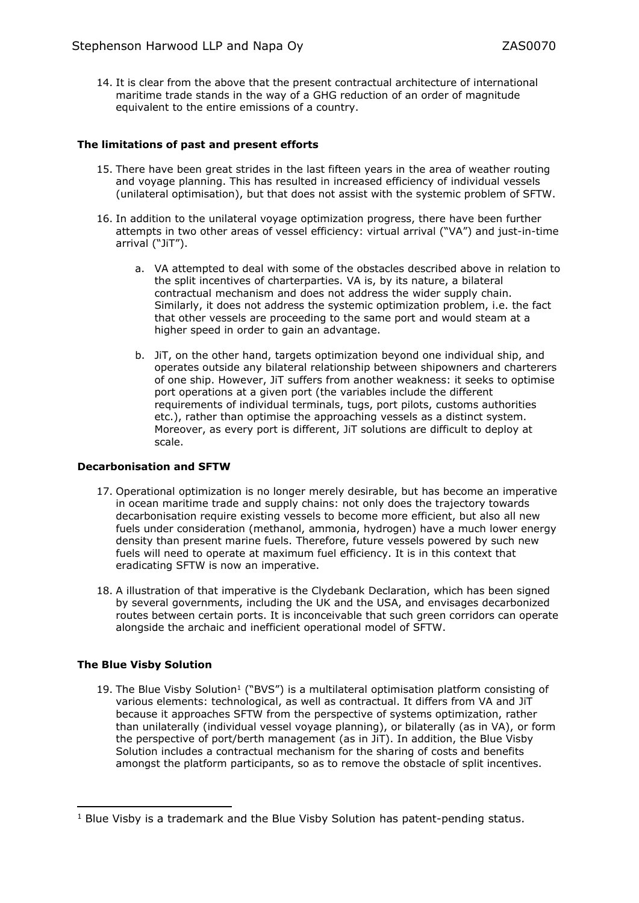14. It is clear from the above that the present contractual architecture of international maritime trade stands in the way of a GHG reduction of an order of magnitude equivalent to the entire emissions of a country.

# **The limitations of past and present efforts**

- 15. There have been great strides in the last fifteen years in the area of weather routing and voyage planning. This has resulted in increased efficiency of individual vessels (unilateral optimisation), but that does not assist with the systemic problem of SFTW.
- 16. In addition to the unilateral voyage optimization progress, there have been further attempts in two other areas of vessel efficiency: virtual arrival ("VA") and just-in-time arrival ("JiT").
	- a. VA attempted to deal with some of the obstacles described above in relation to the split incentives of charterparties. VA is, by its nature, a bilateral contractual mechanism and does not address the wider supply chain. Similarly, it does not address the systemic optimization problem, i.e. the fact that other vessels are proceeding to the same port and would steam at a higher speed in order to gain an advantage.
	- b. JiT, on the other hand, targets optimization beyond one individual ship, and operates outside any bilateral relationship between shipowners and charterers of one ship. However, JiT suffers from another weakness: it seeks to optimise port operations at a given port (the variables include the different requirements of individual terminals, tugs, port pilots, customs authorities etc.), rather than optimise the approaching vessels as a distinct system. Moreover, as every port is different, JiT solutions are difficult to deploy at scale.

## **Decarbonisation and SFTW**

- 17. Operational optimization is no longer merely desirable, but has become an imperative in ocean maritime trade and supply chains: not only does the trajectory towards decarbonisation require existing vessels to become more efficient, but also all new fuels under consideration (methanol, ammonia, hydrogen) have a much lower energy density than present marine fuels. Therefore, future vessels powered by such new fuels will need to operate at maximum fuel efficiency. It is in this context that eradicating SFTW is now an imperative.
- 18. A illustration of that imperative is the Clydebank Declaration, which has been signed by several governments, including the UK and the USA, and envisages decarbonized routes between certain ports. It is inconceivable that such green corridors can operate alongside the archaic and inefficient operational model of SFTW.

## **The Blue Visby Solution**

19. The Blue Visby Solution<sup>1</sup> ("BVS") is a multilateral optimisation platform consisting of various elements: technological, as well as contractual. It differs from VA and JiT because it approaches SFTW from the perspective of systems optimization, rather than unilaterally (individual vessel voyage planning), or bilaterally (as in VA), or form the perspective of port/berth management (as in JiT). In addition, the Blue Visby Solution includes a contractual mechanism for the sharing of costs and benefits amongst the platform participants, so as to remove the obstacle of split incentives.

<sup>&</sup>lt;sup>1</sup> Blue Visby is a trademark and the Blue Visby Solution has patent-pending status.